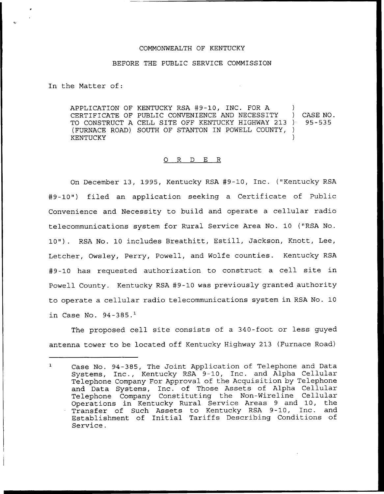## COMMONWEALTH OF KENTUCKY

## BEFORE THE PUBLIC SERVICE COMMISSION

In the Matter of:

APPLICATION OF KENTUCKY RSA #9-10, INC. FOR A )<br>CERTIFICATE OF PUBLIC CONVENIENCE AND NECESSITY ) CERTIFICATE OF PUBLIC CONVENIENCE AND NECESSITY ) CASE NO.<br>TO CONSTRUCT A CELL SITE OFF KENTUCKY HIGHWAY 213 ) 95-535 TO CONSTRUCT A CELL SITE OFF KENTUCKY HIGHWAY 213 ) (FURNACE ROAD) SOUTH OF STANTON IN POWELL COUNTY, ) **KENTUCKY** 

## 0 R <sup>D</sup> E R

On December 13, 1995, Kentucky RSA 49-10, Inc. ("Kentucky RSA g9-10") filed an application seeking a Certificate of Public Convenience and Necessity to build and operate a cellular radio telecommunications system for Rural Service Area No. 10 ("RSA No. 10"). RSA No. 10 includes Breathitt, Estill, Jackson, Knott, Lee, Letcher, Owsley, Perry, Powell, and Wolfe counties. Kentucky RSA g9-10 has requested authorization to construct a cell site in Powell County. Kentucky RSA #9-10 was previously granted authority to operate a cellular radio telecommunications system in RSA No. 10 in Case No.  $94-385.^1$ 

The proposed cell site consists of a 340-foot or less guyed antenna tower to be located off Kentucky Highway 213 (Furnace Road)

 $\mathbf{1}$ Case No. 94-385, The Joint Application of Telephone and Data Systems, Inc., Kentucky RSA 9-10, Inc. and Alpha Cellular Telephone Company For Approval of the Acquisition by Telephone and Data Systems, Inc. of Those Assets of Alpha Cellular Telephone Company Constituting the Non-Wireline Cellular Operations in Kentucky Rural Service Areas 9 and 10, the Transfer of Such Assets to Kentucky RSA 9-10, Inc. and Establishment of Initial Tariffs Describing Conditions of Service.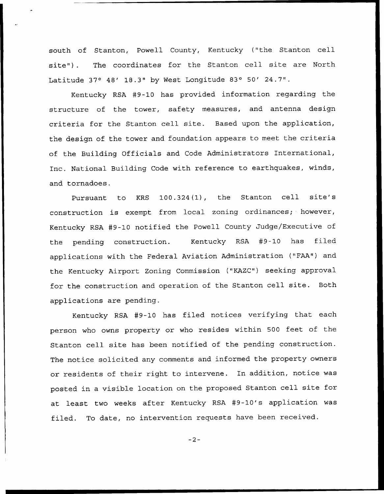south of Stanton, Powell County, Kentucky ("the Stanton cell site"). The coordinates for the Stanton cell site are North Latitude  $37^\circ$  48' 18.3" by West Longitude 83° 50' 24.7".

Kentucky RSA #9-10 has provided information regarding the structure of the tower, safety measures, and antenna design criteria for the Stanton cell site. Based upon the application, the design of the tower and foundation appears to meet the criteria of the Building Officials and Code Administrators International, Inc. National Building Code with reference to earthquakes, winds, and tornadoes.

Pursuant to KRS 100.324(1), the Stanton cell site's construction is exempt from local zoning ordinances; however, Kentucky RSA #9-10 notified the Powell County Judge/Executive of the pending construction. Kentucky RSA #9-10 has filed applications with the Federal Aviation Administration ("FAA") and the Kentucky Airport Zoning Commission ("KAZC") seeking approval for the construction and operation of the Stanton cell site. Both applications are pending.

Kentucky RSA #9-10 has filed notices verifying that each person who owns property or who resides within 500 feet of the Stanton cell site has been notified of the pending construction. The notice solicited any comments and informed the property owners or residents of their right to intervene. In addition, notice was posted in <sup>a</sup> visible location on the proposed Stanton cell site for at least two weeks after Kentucky RSA #9-10's application was filed. To date, no intervention requests have been received.

 $-2-$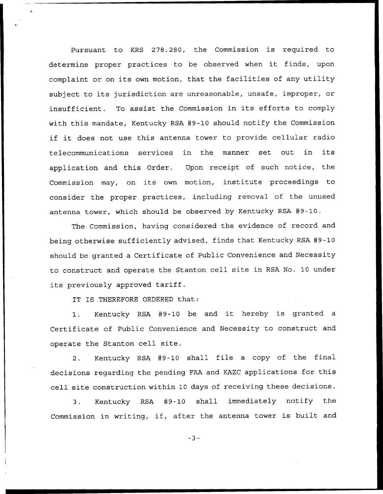Pursuant to KRS 278.280, the Commission is required to determine proper practices to be observed when it finds, upon complaint or on its own motion, that the facilities of any utility subject to its jurisdiction are unreasonable, unsafe, improper, or insufficient. To assist the Commission in its efforts to comply with this mandate, Kentucky RSA #9-10 should notify the Commission if it does not use this antenna tower to provide cellular radio telecommunications services in the manner set out in its application and this Order. Upon receipt of such notice, the Commission may, on its own motion, institute proceedings to consider the proper practices, including removal of the unused antenna tower, which should be observed by Kentucky RSA #9-10.

The Commission, having considered the evidence of record and being otherwise sufficiently advised, finds that Kentucky RSA #9-10 should be granted a Certificate of Public Convenience and Necessity to construct and operate the Stanton cell site in RSA No. 10 under its previously approved tariff.

IT IS THEREFORE ORDERED that:

1. Kentucky RSA #9-10 be and it hereby is granted a Certificate of Public Convenience and Necessity to construct and operate the Stanton cell site.

2. Kentucky RSA #9-10 shall file a copy of the final decisions regarding the pending FAA and KAZC applications for this cell site construction within 10 days of receiving these decisions.

3. Kentucky RSA #9-10 shall immediately notify the Commission in writing, if, after the antenna tower is built and

 $-3-$